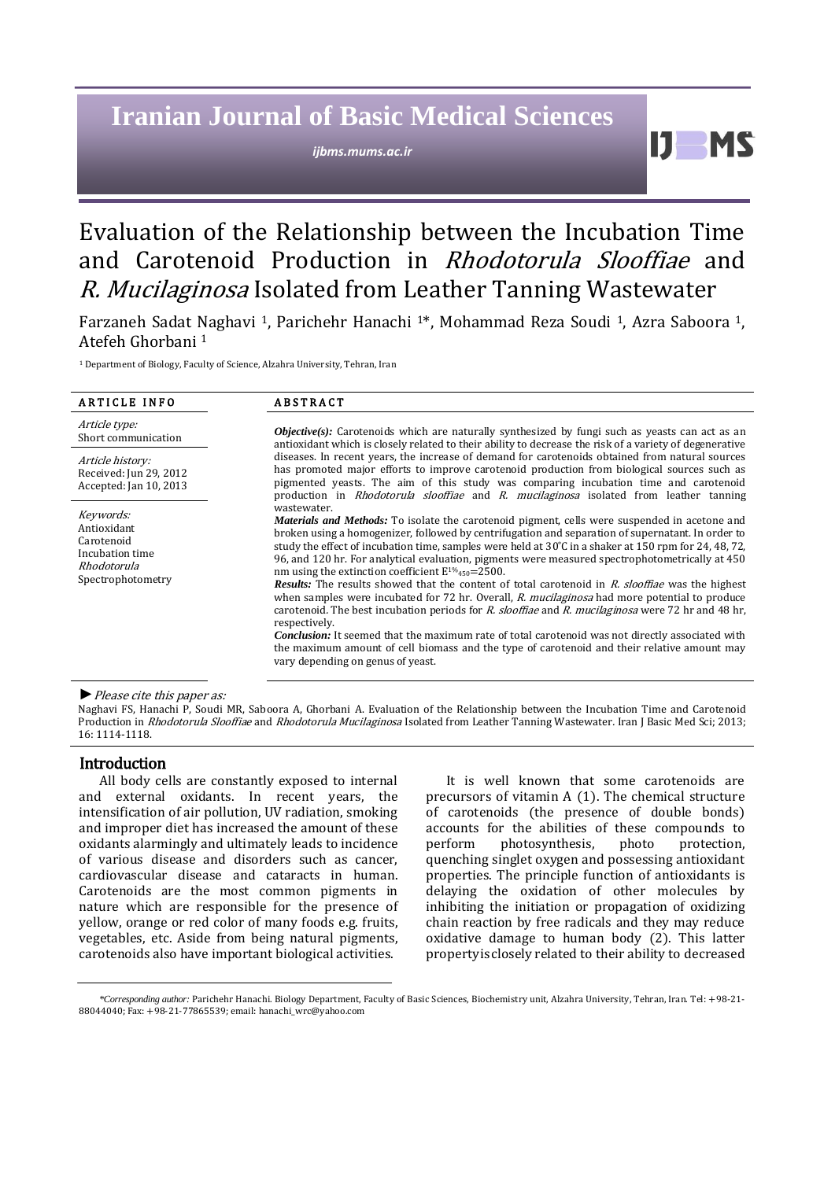# **Iranian Journal of Basic Medical Sciences**

*ijbms.mums.ac.ir*

61

# Evaluation of the Relationship between the Incubation Time and Carotenoid Production in Rhodotorula Slooffiae and R. Mucilaginosa Isolated from Leather Tanning Wastewater

Farzaneh Sadat Naghavi <sup>1</sup>, Parichehr Hanachi <sup>1</sup>\*, Mohammad Reza Soudi <sup>1</sup>, Azra Saboora <sup>1</sup>, Atefeh Ghorbani <sup>1</sup>

<sup>1</sup> Department of Biology, Faculty of Science, Alzahra University, Tehran, Iran

| <b>ARTICLE INFO</b>                                                                           | <b>ABSTRACT</b>                                                                                                                                                                                                                                                                                                                                                                                                                                                                                                                                                                                                                                                                                                                                                                                                                                                                                                                                                                                                                                                                                |  |  |
|-----------------------------------------------------------------------------------------------|------------------------------------------------------------------------------------------------------------------------------------------------------------------------------------------------------------------------------------------------------------------------------------------------------------------------------------------------------------------------------------------------------------------------------------------------------------------------------------------------------------------------------------------------------------------------------------------------------------------------------------------------------------------------------------------------------------------------------------------------------------------------------------------------------------------------------------------------------------------------------------------------------------------------------------------------------------------------------------------------------------------------------------------------------------------------------------------------|--|--|
| Article type:<br>Short communication                                                          | <b><i>Objective(s)</i></b> : Carotenoids which are naturally synthesized by fungi such as yeasts can act as an<br>antioxidant which is closely related to their ability to decrease the risk of a variety of degenerative                                                                                                                                                                                                                                                                                                                                                                                                                                                                                                                                                                                                                                                                                                                                                                                                                                                                      |  |  |
| Article history:<br>Received: Jun 29, 2012<br>Accepted: Jan 10, 2013                          | diseases. In recent years, the increase of demand for carotenoids obtained from natural sources<br>has promoted major efforts to improve carotenoid production from biological sources such as<br>pigmented yeasts. The aim of this study was comparing incubation time and carotenoid<br>production in <i>Rhodotorula slooffiae</i> and <i>R. mucilaginosa</i> isolated from leather tanning                                                                                                                                                                                                                                                                                                                                                                                                                                                                                                                                                                                                                                                                                                  |  |  |
| Keywords:<br>Antioxidant<br>Carotenoid<br>Incubation time<br>Rhodotorula<br>Spectrophotometry | wastewater.<br><i>Materials and Methods:</i> To isolate the carotenoid pigment, cells were suspended in acetone and<br>broken using a homogenizer, followed by centrifugation and separation of supernatant. In order to<br>study the effect of incubation time, samples were held at $30^{\circ}$ C in a shaker at 150 rpm for 24, 48, 72,<br>96, and 120 hr. For analytical evaluation, pigments were measured spectrophotometrically at 450<br>nm using the extinction coefficient $E^{1\%}_{450}$ =2500.<br><b>Results:</b> The results showed that the content of total carotenoid in R. slooffiae was the highest<br>when samples were incubated for 72 hr. Overall, R. mucilaginosa had more potential to produce<br>carotenoid. The best incubation periods for R. slooffiae and R. mucilaginosa were 72 hr and 48 hr,<br>respectively.<br><b>Conclusion:</b> It seemed that the maximum rate of total carotenoid was not directly associated with<br>the maximum amount of cell biomass and the type of carotenoid and their relative amount may<br>vary depending on genus of yeast. |  |  |

# *►*Please cite this paper as:

Naghavi FS, Hanachi P, Soudi MR, Saboora A, Ghorbani A. Evaluation of the Relationship between the Incubation Time and Carotenoid Production in Rhodotorula Slooffiae and Rhodotorula Mucilaginosa Isolated from Leather Tanning Wastewater. Iran J Basic Med Sci; 2013; 16: 1114-1118.

# Introduction

All body cells are constantly exposed to internal and external oxidants. In recent years, the intensification of air pollution, UV radiation, smoking and improper diet has increased the amount of these oxidants alarmingly and ultimately leads to incidence of various disease and disorders such as cancer, cardiovascular disease and cataracts in human. Carotenoids are the most common pigments in nature which are responsible for the presence of yellow, orange or red color of many foods e.g. fruits, vegetables, etc. Aside from being natural pigments, carotenoids also have important biological activities.

It is well known that some carotenoids are precursors of vitamin A [\(1\)](#page-3-0). The chemical structure of carotenoids (the presence of double bonds) accounts for the abilities of these compounds to<br>perform photosynthesis, photo protection, photosynthesis, quenching singlet oxygen and possessing antioxidant properties. The principle function of antioxidants is delaying the oxidation of other molecules by inhibiting the initiation or propagation of oxidizing chain reaction by free radicals and they may reduce oxidative damage to human body [\(2\)](#page-3-1). This latter propertyisclosely related to their ability to decreased

*<sup>\*</sup>Corresponding author:* Parichehr Hanachi. Biology Department, Faculty of Basic Sciences, Biochemistry unit, Alzahra University, Tehran, Iran. Tel: +98-21- 88044040; Fax: +98-21-77865539; email[: hanachi\\_wrc@yahoo.com](mailto:hanachi_wrc@yahoo.com)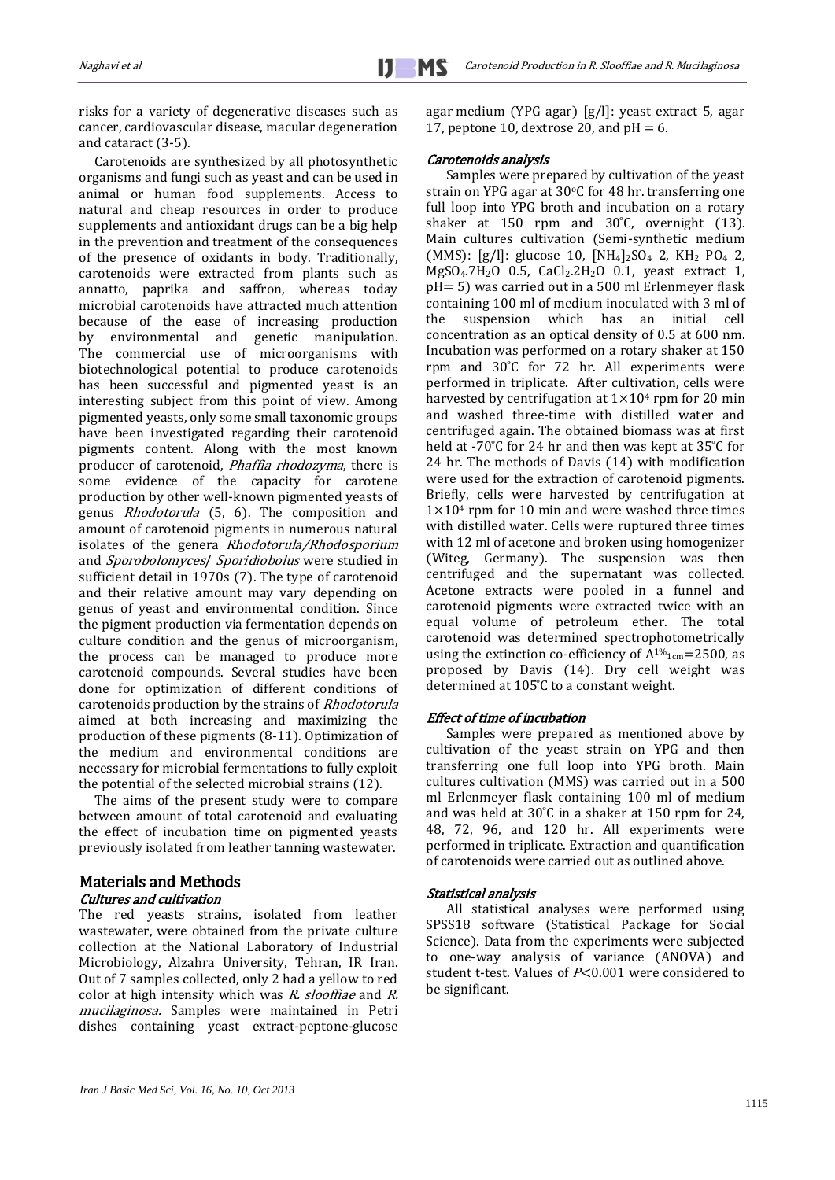risks for a variety of degenerative diseases such as cancer, cardiovascular disease, macular degeneration and cataract (3-5).

 Carotenoids are synthesized by all photosynthetic organisms and fungi such as yeast and can be used in animal or human food supplements. Access to natural and cheap resources in order to produce supplements and antioxidant drugs can be a big help in the prevention and treatment of the consequences of the presence of oxidants in body. Traditionally, carotenoids were extracted from plants such as annatto, paprika and saffron, whereas today microbial carotenoids have attracted much attention because of the ease of increasing production by environmental and genetic manipulation. The commercial use of microorganisms with biotechnological potential to produce carotenoids has been successful and pigmented yeast is an interesting subject from this point of view. Among pigmented yeasts, only some small taxonomic groups have been investigated regarding their carotenoid pigments content. Along with the most known producer of carotenoid, Phaffia rhodozyma, there is some evidence of the capacity for carotene production by other well-known pigmented yeasts of genus Rhodotorula (5, 6). The composition and amount of carotenoid pigments in numerous natural isolates of the genera Rhodotorula/Rhodosporium and Sporobolomyces/ Sporidiobolus were studied in sufficient detail in 1970s [\(7\)](#page-4-0). The type of carotenoid and their relative amount may vary depending on genus of yeast and environmental condition. Since the pigment production via fermentation depends on culture condition and the genus of microorganism, the process can be managed to produce more carotenoid compounds. Several studies have been done for optimization of different conditions of carotenoids production by the strains of Rhodotorula aimed at both increasing and maximizing the production of these pigments (8-11). Optimization of the medium and environmental conditions are necessary for microbial fermentations to fully exploit the potential of the selected microbial strains [\(12\)](#page-4-1).

 The aims of the present study were to compare between amount of total carotenoid and evaluating the effect of incubation time on pigmented yeasts previously isolated from leather tanning wastewater.

# Materials and Methods Cultures and cultivation

The red yeasts strains, isolated from leather wastewater, were obtained from the private culture collection at the National Laboratory of Industrial Microbiology, Alzahra University, Tehran, IR Iran. Out of 7 samples collected, only 2 had a yellow to red color at high intensity which was R. slooffiae and R. mucilaginosa. Samples were maintained in Petri dishes containing yeast extract-peptone-glucose agar medium (YPG agar) [g/l]: yeast extract 5, agar 17, peptone 10, dextrose 20, and  $pH = 6$ .

## Carotenoids analysis

Samples were prepared by cultivation of the yeast strain on YPG agar at  $30^{\circ}$ C for 48 hr. transferring one full loop into YPG broth and incubation on a rotary shaker at  $150$  rpm and  $30^{\circ}$ C, overnight [\(13\)](#page-4-2). Main cultures cultivation (Semi-synthetic medium (MMS):  $[g/]]$ : glucose 10,  $[NH_4]_2SO_4$  2,  $KH_2$  PO<sub>4</sub> 2,  $MgSO<sub>4</sub>.7H<sub>2</sub>O$  0.5,  $CaCl<sub>2</sub>.2H<sub>2</sub>O$  0.1, yeast extract 1, pH= 5) was carried out in a 500 ml Erlenmeyer flask containing 100 ml of medium inoculated with 3 ml of the suspension which has an initial cell concentration as an optical density of 0.5 at 600 nm. Incubation was performed on a rotary shaker at 150 rpm and 30°C for 72 hr. All experiments were performed in triplicate. After cultivation, cells were harvested by centrifugation at  $1\times10^4$  rpm for 20 min and washed three-time with distilled water and centrifuged again. The obtained biomass was at first held at -70 $\degree$ C for 24 hr and then was kept at 35 $\degree$ C for 24 hr. The methods of Davis [\(14\)](http://osub.mums.ac.ir/osub/nilfr/ijbms/Documents%20and%20Settings/sabz/Desktop/MUMS2.docx#_ENREF_15) with modification were used for the extraction of carotenoid pigments. Briefly, cells were harvested by centrifugation at  $1\times10<sup>4</sup>$  rpm for 10 min and were washed three times with distilled water. Cells were ruptured three times with 12 ml of acetone and broken using homogenizer (Witeg, Germany). The suspension was then centrifuged and the supernatant was collected. Acetone extracts were pooled in a funnel and carotenoid pigments were extracted twice with an equal volume of petroleum ether. The total carotenoid was determined spectrophotometrically using the extinction co-efficiency of  $A^{1/6}$ <sub>1cm</sub>=2500, as proposed by Davis [\(14\)](#page-4-3). Dry cell weight was determined at 105°C to a constant weight.

# Effect of time of incubation

Samples were prepared as mentioned above by cultivation of the yeast strain on YPG and then transferring one full loop into YPG broth. Main cultures cultivation (MMS) was carried out in a 500 ml Erlenmeyer flask containing 100 ml of medium and was held at  $30^{\circ}$ C in a shaker at 150 rpm for 24, 48, 72, 96, and 120 hr. All experiments were performed in triplicate. Extraction and quantification of carotenoids were carried out as outlined above.

### Statistical analysis

All statistical analyses were performed using SPSS18 software (Statistical Package for Social Science). Data from the experiments were subjected to one-way analysis of variance (ANOVA) and student t-test. Values of  $P<0.001$  were considered to be significant.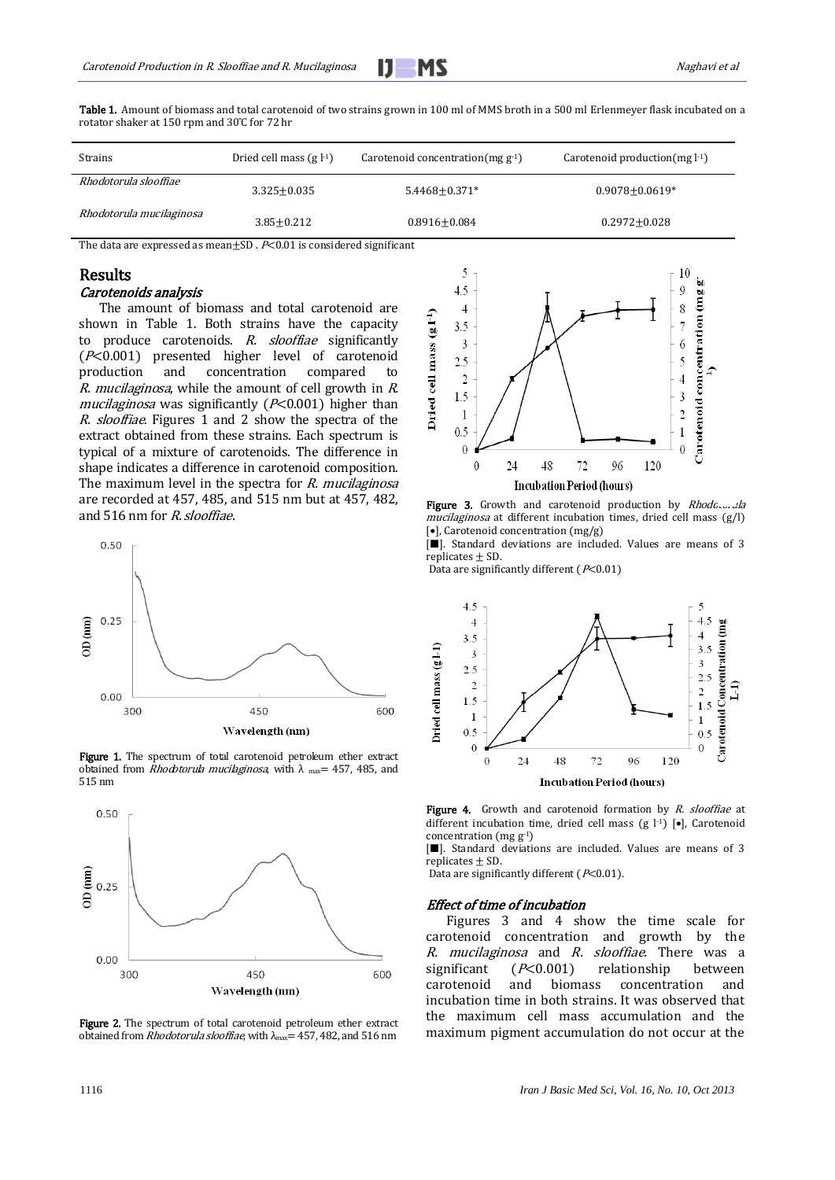

| Strains                  | Dried cell mass $(g11)$ | Carotenoid concentration $(mg g^{-1})$ | Carotenoid production $(mg l-1)$ |
|--------------------------|-------------------------|----------------------------------------|----------------------------------|
| Rhodotorula slooffiae    | $3.325 + 0.035$         | $5.4468 \pm 0.371*$                    | $0.9078 \pm 0.0619*$             |
| Rhodotorula mucilaginosa | $3.85 \pm 0.212$        | $0.8916 \pm 0.084$                     | $0.2972 \pm 0.028$               |

Table 1. Amount of biomass and total carotenoid of two strains grown in 100 ml of MMS broth in a 500 ml Erlenmeyer flask incubated on a rotator shaker at 150 rpm and 30°C for 72 hr

The data are expressed as mean $\pm$ SD .  $P$ <0.01 is considered significant

# Results

## Carotenoids analysis

The amount of biomass and total carotenoid are shown in Table 1. Both strains have the capacity to produce carotenoids. R. slooffiae significantly  $(F<0.001)$  presented higher level of carotenoid production and concentration compared to R. mucilaginosa, while the amount of cell growth in R. mucilaginosa was significantly ( $P<0.001$ ) higher than R. slooffiae. Figures 1 and 2 show the spectra of the extract obtained from these strains. Each spectrum is typical of a mixture of carotenoids. The difference in shape indicates a difference in carotenoid composition. The maximum level in the spectra for *. <i>mucilaginosa* are recorded at 457, 485, and 515 nm but at 457, 482, and 516 nm for R. slooffiae.



Figure 1. The spectrum of total carotenoid petroleum ether extract obtained from *Rhodotorula mucilaginosa*, with  $\lambda$ <sub>max</sub> = 457, 485, and 515 nm



Figure 2. The spectrum of total carotenoid petroleum ether extract obtained from *Rhodotorula slooffiae*, with λ<sub>max</sub>= 457, 482, and 516 nm



Figure 3. Growth and carotenoid production by Rhodc.... Jla mucilaginosa at different incubation times, dried cell mass (g/l)  $\lceil \bullet \rceil$ , Carotenoid concentration  $(mg/g)$ 

 $\boxed{\blacksquare}$ . Standard deviations are included. Values are means of 3 replicates  $\pm$  SD.

Data are significantly different ( $P<0.01$ )



Figure 4. Growth and carotenoid formation by R. slooffiae at different incubation time, dried cell mass (g  $\vert$ <sup>1</sup>) [ $\bullet$ ], Carotenoid concentration (mg  $g^{-1}$ )

[ $\blacksquare$ ]. Standard deviations are included. Values are means of 3 replicates  $\pm$  SD.

Data are significantly different ( $P<0.01$ ).

#### Effect of time of incubation

Figures 3 and 4 show the time scale for carotenoid concentration and growth by the R. mucilaginosa and R. slooffiae. There was a significant (P<0.001) relationship between carotenoid and biomass concentration and incubation time in both strains. It was observed that the maximum cell mass accumulation and the maximum pigment accumulation do not occur at the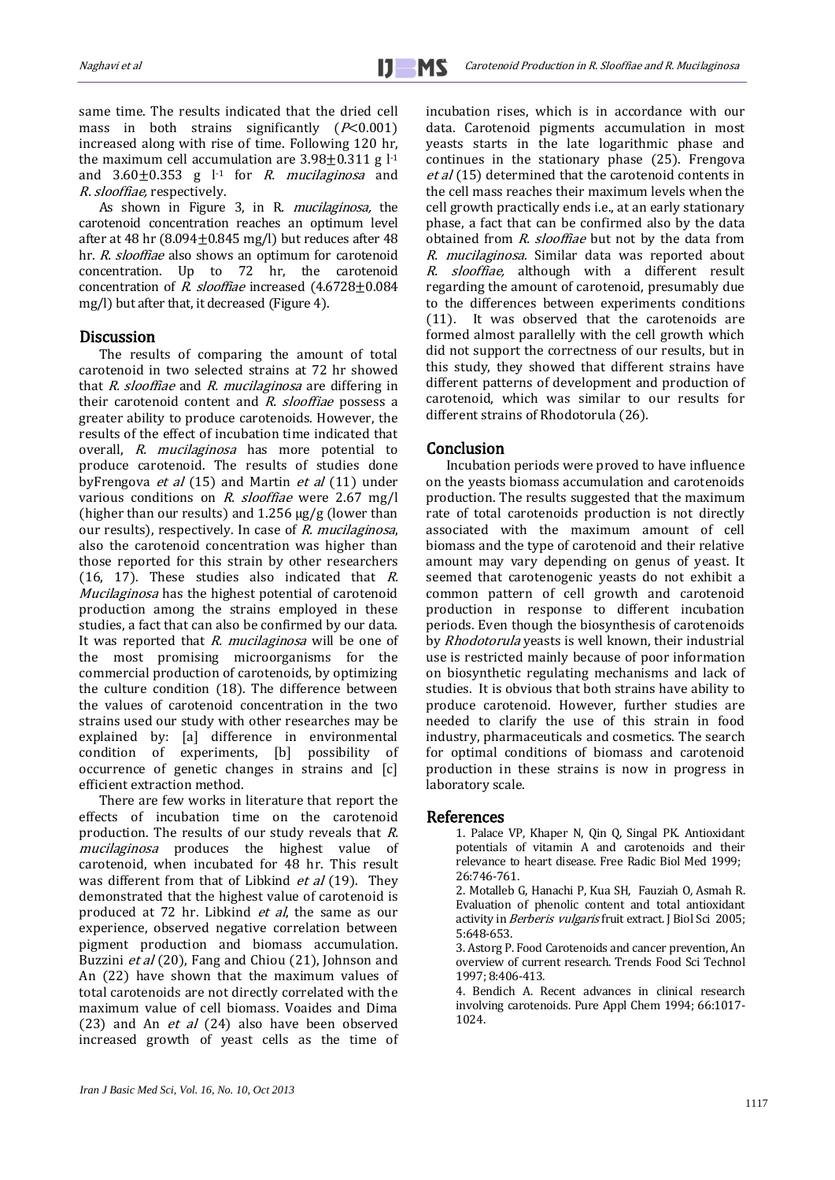same time. The results indicated that the dried cell mass in both strains significantly  $(P<0.001)$ increased along with rise of time. Following 120 hr, the maximum cell accumulation are  $3.98\pm0.311$  g l<sup>-1</sup> and  $3.60\pm0.353$  g  $l<sup>-1</sup>$  for *R. mucilaginosa* and R. slooffiae, respectively.

As shown in Figure 3, in R. mucilaginosa, the carotenoid concentration reaches an optimum level after at 48 hr  $(8.094\pm0.845 \text{ mg/l})$  but reduces after 48 hr. R. slooffiae also shows an optimum for carotenoid concentration. Up to 72 hr, the carotenoid concentration of R. slooffiae increased (4.6728±0.084 mg/l) but after that, it decreased (Figure 4).

# Discussion

The results of comparing the amount of total carotenoid in two selected strains at 72 hr showed that R. slooffiae and R. mucilaginosa are differing in their carotenoid content and R. slooffiae possess a greater ability to produce carotenoids. However, the results of the effect of incubation time indicated that overall, R. mucilaginosa has more potential to produce carotenoid. The results of studies done byFrengova et al  $(15)$  and Martin et al  $(11)$  under various conditions on R. slooffiae were 2.67 mg/l (higher than our results) and  $1.256 \mu g / g$  (lower than our results), respectively. In case of R. mucilaginosa, also the carotenoid concentration was higher than those reported for this strain by other researchers (16, 17). These studies also indicated that  $R$ . Mucilaginosa has the highest potential of carotenoid production among the strains employed in these studies, a fact that can also be confirmed by our data. It was reported that R. mucilaginosa will be one of the most promising microorganisms for the commercial production of carotenoids, by optimizing the culture condition (18). The difference between the values of carotenoid concentration in the two strains used our study with other researches may be explained by: [a] difference in environmental condition of experiments, [b] possibility of occurrence of genetic changes in strains and [c] efficient extraction method.

There are few works in literature that report the effects of incubation time on the carotenoid production. The results of our study reveals that R. mucilaginosa produces the highest value of carotenoid, when incubated for 48 hr. This result was different from that of Libkind et al [\(19\)](#page-4-6). They demonstrated that the highest value of carotenoid is produced at 72 hr. Libkind et al, the same as our experience, observed negative correlation between pigment production and biomass accumulation. Buzzini *et al* [\(20\)](#page-4-7), Fang and Chiou [\(21\)](#page-4-8), Johnson and An [\(22\)](#page-4-9) have shown that the maximum values of total carotenoids are not directly correlated with the maximum value of cell biomass. Voaides and Dima [\(23\)](#page-4-10) and An  $et$  al [\(24\)](#page-4-11) also have been observed increased growth of yeast cells as the time of incubation rises, which is in accordance with our data. Carotenoid pigments accumulation in most yeasts starts in the late logarithmic phase and continues in the stationary phase [\(25\)](#page-4-12). Frengova et al [\(15\)](#page-4-4) determined that the carotenoid contents in the cell mass reaches their maximum levels when the cell growth practically ends i.e., at an early stationary phase, a fact that can be confirmed also by the data obtained from *R. slooffiae* but not by the data from R. mucilaginosa. Similar data was reported about R. slooffiae, although with a different result regarding the amount of carotenoid, presumably due to the differences between experiments conditions (11). It was observed that the carotenoids are formed almost parallelly with the cell growth which did not support the correctness of our results, but in this study, they showed that different strains have different patterns of development and production of carotenoid, which was similar to our results for different strains of Rhodotorula (26).

# Conclusion

Incubation periods were proved to have influence on the yeasts biomass accumulation and carotenoids production. The results suggested that the maximum rate of total carotenoids production is not directly associated with the maximum amount of cell biomass and the type of carotenoid and their relative amount may vary depending on genus of yeast. It seemed that carotenogenic yeasts do not exhibit a common pattern of cell growth and carotenoid production in response to different incubation periods. Even though the biosynthesis of carotenoids by Rhodotorula yeasts is well known, their industrial use is restricted mainly because of poor information on biosynthetic regulating mechanisms and lack of studies. It is obvious that both strains have ability to produce carotenoid. However, further studies are needed to clarify the use of this strain in food industry, pharmaceuticals and cosmetics. The search for optimal conditions of biomass and carotenoid production in these strains is now in progress in laboratory scale.

# <span id="page-3-0"></span>References

1. Palace VP, Khaper N, Qin Q, Singal PK. Antioxidant potentials of vitamin A and carotenoids and their relevance to heart disease. Free Radic Biol Med 1999; 26:746-761.

<span id="page-3-1"></span>2. Motalleb G, Hanachi P, Kua SH, Fauziah O, Asmah R. Evaluation of phenolic content and total antioxidant activity in Berberis vulgaris fruit extract. J Biol Sci 2005; 5:648-653.

3. Astorg P. Food Carotenoids and cancer prevention, An overview of current research. Trends Food Sci Technol 1997; 8:406-413.

4. Bendich A. Recent advances in clinical research involving carotenoids. Pure Appl Chem 1994; 66:1017- 1024.